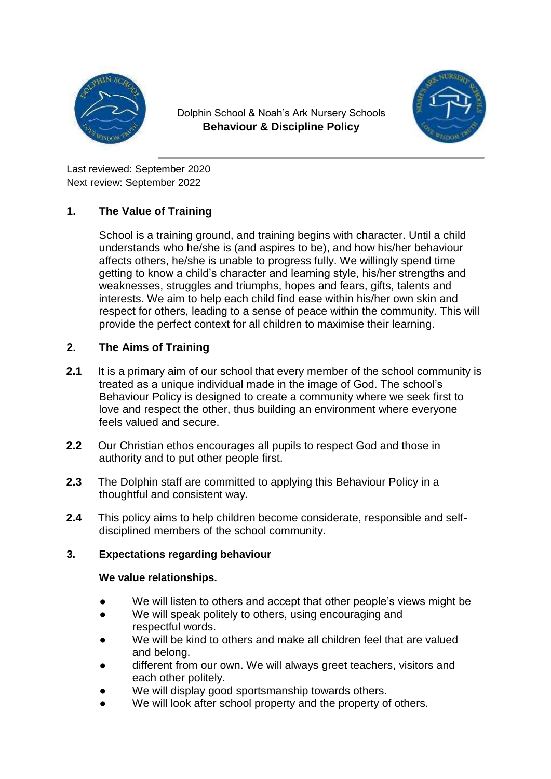

Dolphin School & Noah's Ark Nursery Schools **Behaviour & Discipline Policy**



Last reviewed: September 2020 Next review: September 2022

# **1. The Value of Training**

School is a training ground, and training begins with character. Until a child understands who he/she is (and aspires to be), and how his/her behaviour affects others, he/she is unable to progress fully. We willingly spend time getting to know a child's character and learning style, his/her strengths and weaknesses, struggles and triumphs, hopes and fears, gifts, talents and interests. We aim to help each child find ease within his/her own skin and respect for others, leading to a sense of peace within the community. This will provide the perfect context for all children to maximise their learning.

# **2. The Aims of Training**

- **2.1** It is a primary aim of our school that every member of the school community is treated as a unique individual made in the image of God. The school's Behaviour Policy is designed to create a community where we seek first to love and respect the other, thus building an environment where everyone feels valued and secure.
- **2.2** Our Christian ethos encourages all pupils to respect God and those in authority and to put other people first.
- **2.3** The Dolphin staff are committed to applying this Behaviour Policy in a thoughtful and consistent way.
- **2.4** This policy aims to help children become considerate, responsible and selfdisciplined members of the school community.

## **3. Expectations regarding behaviour**

## **We value relationships.**

- We will listen to others and accept that other people's views might be
- We will speak politely to others, using encouraging and respectful words.
- We will be kind to others and make all children feel that are valued and belong.
- different from our own. We will always greet teachers, visitors and each other politely.
- We will display good sportsmanship towards others.
- We will look after school property and the property of others.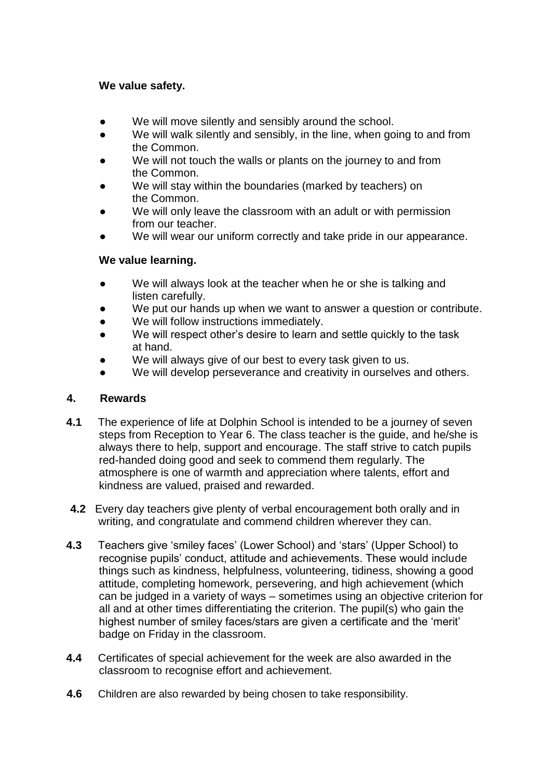## **We value safety.**

- We will move silently and sensibly around the school.
- We will walk silently and sensibly, in the line, when going to and from the Common.
- We will not touch the walls or plants on the journey to and from the Common.
- We will stay within the boundaries (marked by teachers) on the Common.
- We will only leave the classroom with an adult or with permission from our teacher.
- We will wear our uniform correctly and take pride in our appearance.

## **We value learning.**

- We will always look at the teacher when he or she is talking and listen carefully.
- We put our hands up when we want to answer a question or contribute.
- We will follow instructions immediately.
- We will respect other's desire to learn and settle quickly to the task at hand.
- We will always give of our best to every task given to us.
- We will develop perseverance and creativity in ourselves and others.

## **4. Rewards**

- **4.1** The experience of life at Dolphin School is intended to be a journey of seven steps from Reception to Year 6. The class teacher is the guide, and he/she is always there to help, support and encourage. The staff strive to catch pupils red-handed doing good and seek to commend them regularly. The atmosphere is one of warmth and appreciation where talents, effort and kindness are valued, praised and rewarded.
- **4.2** Every day teachers give plenty of verbal encouragement both orally and in writing, and congratulate and commend children wherever they can.
- **4.3** Teachers give 'smiley faces' (Lower School) and 'stars' (Upper School) to recognise pupils' conduct, attitude and achievements. These would include things such as kindness, helpfulness, volunteering, tidiness, showing a good attitude, completing homework, persevering, and high achievement (which can be judged in a variety of ways – sometimes using an objective criterion for all and at other times differentiating the criterion. The pupil(s) who gain the highest number of smiley faces/stars are given a certificate and the 'merit' badge on Friday in the classroom.
- **4.4** Certificates of special achievement for the week are also awarded in the classroom to recognise effort and achievement.
- **4.6** Children are also rewarded by being chosen to take responsibility.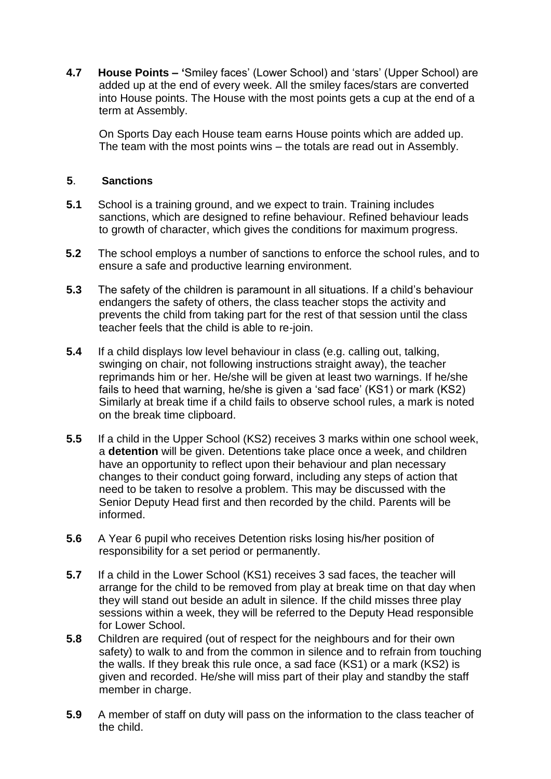**4.7 House Points – '**Smiley faces' (Lower School) and 'stars' (Upper School) are added up at the end of every week. All the smiley faces/stars are converted into House points. The House with the most points gets a cup at the end of a term at Assembly.

On Sports Day each House team earns House points which are added up. The team with the most points wins – the totals are read out in Assembly.

## **5**. **Sanctions**

- **5.1** School is a training ground, and we expect to train. Training includes sanctions, which are designed to refine behaviour. Refined behaviour leads to growth of character, which gives the conditions for maximum progress.
- **5.2** The school employs a number of sanctions to enforce the school rules, and to ensure a safe and productive learning environment.
- **5.3** The safety of the children is paramount in all situations. If a child's behaviour endangers the safety of others, the class teacher stops the activity and prevents the child from taking part for the rest of that session until the class teacher feels that the child is able to re-join.
- **5.4** If a child displays low level behaviour in class (e.g. calling out, talking, swinging on chair, not following instructions straight away), the teacher reprimands him or her. He/she will be given at least two warnings. If he/she fails to heed that warning, he/she is given a 'sad face' (KS1) or mark (KS2) Similarly at break time if a child fails to observe school rules, a mark is noted on the break time clipboard.
- **5.5** If a child in the Upper School (KS2) receives 3 marks within one school week, a **detention** will be given. Detentions take place once a week, and children have an opportunity to reflect upon their behaviour and plan necessary changes to their conduct going forward, including any steps of action that need to be taken to resolve a problem. This may be discussed with the Senior Deputy Head first and then recorded by the child. Parents will be informed.
- **5.6** A Year 6 pupil who receives Detention risks losing his/her position of responsibility for a set period or permanently.
- **5.7** If a child in the Lower School (KS1) receives 3 sad faces, the teacher will arrange for the child to be removed from play at break time on that day when they will stand out beside an adult in silence. If the child misses three play sessions within a week, they will be referred to the Deputy Head responsible for Lower School.
- **5.8** Children are required (out of respect for the neighbours and for their own safety) to walk to and from the common in silence and to refrain from touching the walls. If they break this rule once, a sad face (KS1) or a mark (KS2) is given and recorded. He/she will miss part of their play and standby the staff member in charge.
- **5.9** A member of staff on duty will pass on the information to the class teacher of the child.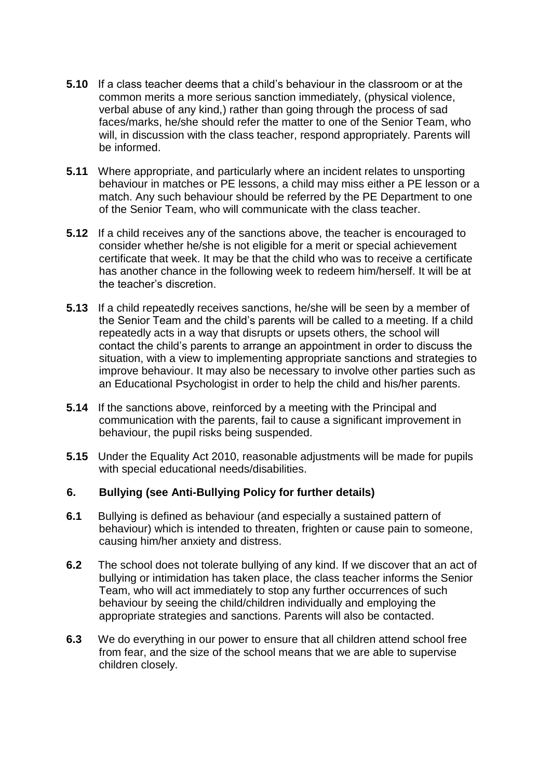- **5.10** If a class teacher deems that a child's behaviour in the classroom or at the common merits a more serious sanction immediately, (physical violence, verbal abuse of any kind,) rather than going through the process of sad faces/marks, he/she should refer the matter to one of the Senior Team, who will, in discussion with the class teacher, respond appropriately. Parents will be informed.
- **5.11** Where appropriate, and particularly where an incident relates to unsporting behaviour in matches or PE lessons, a child may miss either a PE lesson or a match. Any such behaviour should be referred by the PE Department to one of the Senior Team, who will communicate with the class teacher.
- **5.12** If a child receives any of the sanctions above, the teacher is encouraged to consider whether he/she is not eligible for a merit or special achievement certificate that week. It may be that the child who was to receive a certificate has another chance in the following week to redeem him/herself. It will be at the teacher's discretion.
- **5.13** If a child repeatedly receives sanctions, he/she will be seen by a member of the Senior Team and the child's parents will be called to a meeting. If a child repeatedly acts in a way that disrupts or upsets others, the school will contact the child's parents to arrange an appointment in order to discuss the situation, with a view to implementing appropriate sanctions and strategies to improve behaviour. It may also be necessary to involve other parties such as an Educational Psychologist in order to help the child and his/her parents.
- **5.14** If the sanctions above, reinforced by a meeting with the Principal and communication with the parents, fail to cause a significant improvement in behaviour, the pupil risks being suspended.
- **5.15** Under the Equality Act 2010, reasonable adjustments will be made for pupils with special educational needs/disabilities.

## **6. Bullying (see Anti-Bullying Policy for further details)**

- **6.1** Bullying is defined as behaviour (and especially a sustained pattern of behaviour) which is intended to threaten, frighten or cause pain to someone, causing him/her anxiety and distress.
- **6.2** The school does not tolerate bullying of any kind. If we discover that an act of bullying or intimidation has taken place, the class teacher informs the Senior Team, who will act immediately to stop any further occurrences of such behaviour by seeing the child/children individually and employing the appropriate strategies and sanctions. Parents will also be contacted.
- **6.3** We do everything in our power to ensure that all children attend school free from fear, and the size of the school means that we are able to supervise children closely.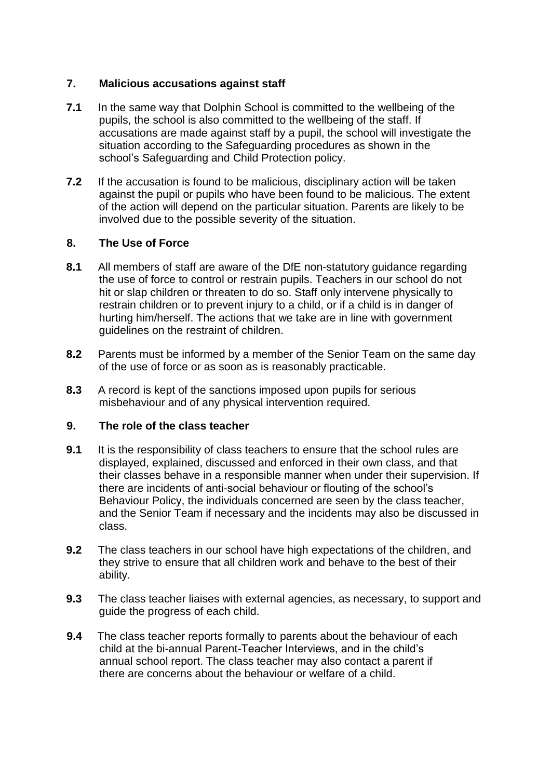## **7. Malicious accusations against staff**

- **7.1** In the same way that Dolphin School is committed to the wellbeing of the pupils, the school is also committed to the wellbeing of the staff. If accusations are made against staff by a pupil, the school will investigate the situation according to the Safeguarding procedures as shown in the school's Safeguarding and Child Protection policy.
- **7.2** If the accusation is found to be malicious, disciplinary action will be taken against the pupil or pupils who have been found to be malicious. The extent of the action will depend on the particular situation. Parents are likely to be involved due to the possible severity of the situation.

## **8. The Use of Force**

- **8.1** All members of staff are aware of the DfE non-statutory guidance regarding the use of force to control or restrain pupils. Teachers in our school do not hit or slap children or threaten to do so. Staff only intervene physically to restrain children or to prevent injury to a child, or if a child is in danger of hurting him/herself. The actions that we take are in line with government guidelines on the restraint of children.
- **8.2** Parents must be informed by a member of the Senior Team on the same day of the use of force or as soon as is reasonably practicable.
- **8.3** A record is kept of the sanctions imposed upon pupils for serious misbehaviour and of any physical intervention required.

## **9. The role of the class teacher**

- **9.1** It is the responsibility of class teachers to ensure that the school rules are displayed, explained, discussed and enforced in their own class, and that their classes behave in a responsible manner when under their supervision. If there are incidents of anti-social behaviour or flouting of the school's Behaviour Policy, the individuals concerned are seen by the class teacher, and the Senior Team if necessary and the incidents may also be discussed in class.
- **9.2** The class teachers in our school have high expectations of the children, and they strive to ensure that all children work and behave to the best of their ability.
- **9.3** The class teacher liaises with external agencies, as necessary, to support and guide the progress of each child.
- **9.4** The class teacher reports formally to parents about the behaviour of each child at the bi-annual Parent-Teacher Interviews, and in the child's annual school report. The class teacher may also contact a parent if there are concerns about the behaviour or welfare of a child.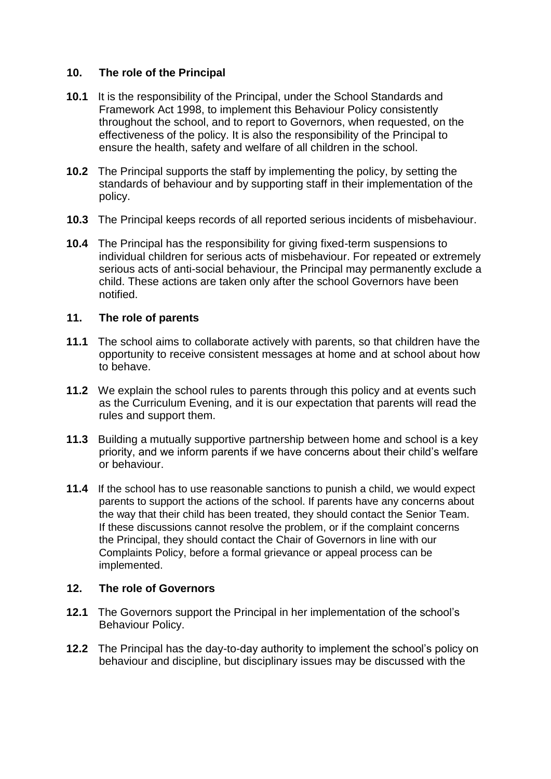## **10. The role of the Principal**

- **10.1** It is the responsibility of the Principal, under the School Standards and Framework Act 1998, to implement this Behaviour Policy consistently throughout the school, and to report to Governors, when requested, on the effectiveness of the policy. It is also the responsibility of the Principal to ensure the health, safety and welfare of all children in the school.
- **10.2** The Principal supports the staff by implementing the policy, by setting the standards of behaviour and by supporting staff in their implementation of the policy.
- **10.3** The Principal keeps records of all reported serious incidents of misbehaviour.
- **10.4** The Principal has the responsibility for giving fixed-term suspensions to individual children for serious acts of misbehaviour. For repeated or extremely serious acts of anti-social behaviour, the Principal may permanently exclude a child. These actions are taken only after the school Governors have been notified.

## **11. The role of parents**

- **11.1** The school aims to collaborate actively with parents, so that children have the opportunity to receive consistent messages at home and at school about how to behave.
- **11.2** We explain the school rules to parents through this policy and at events such as the Curriculum Evening, and it is our expectation that parents will read the rules and support them.
- **11.3** Building a mutually supportive partnership between home and school is a key priority, and we inform parents if we have concerns about their child's welfare or behaviour.
- **11.4** If the school has to use reasonable sanctions to punish a child, we would expect parents to support the actions of the school. If parents have any concerns about the way that their child has been treated, they should contact the Senior Team. If these discussions cannot resolve the problem, or if the complaint concerns the Principal, they should contact the Chair of Governors in line with our Complaints Policy, before a formal grievance or appeal process can be implemented.

## **12. The role of Governors**

- **12.1** The Governors support the Principal in her implementation of the school's Behaviour Policy.
- **12.2** The Principal has the day-to-day authority to implement the school's policy on behaviour and discipline, but disciplinary issues may be discussed with the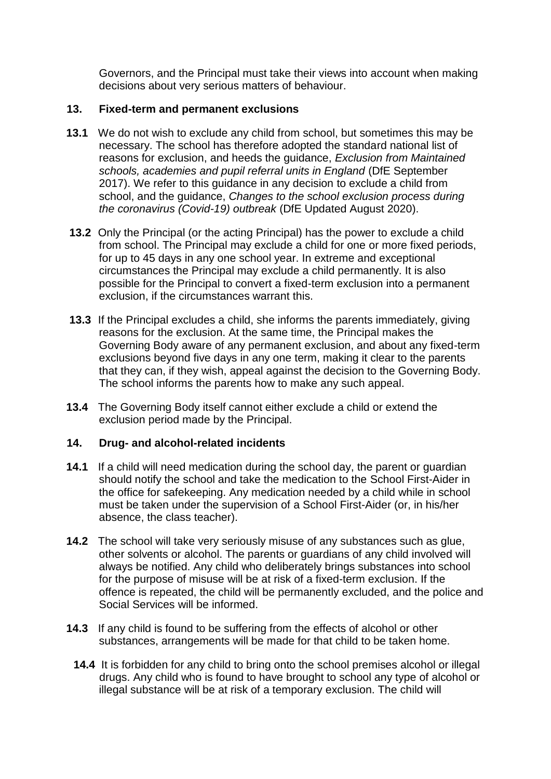Governors, and the Principal must take their views into account when making decisions about very serious matters of behaviour.

## **13. Fixed-term and permanent exclusions**

- **13.1** We do not wish to exclude any child from school, but sometimes this may be necessary. The school has therefore adopted the standard national list of reasons for exclusion, and heeds the guidance, *Exclusion from Maintained schools, academies and pupil referral units in England* (DfE September 2017). We refer to this guidance in any decision to exclude a child from school, and the guidance, *Changes to the school exclusion process during the coronavirus (Covid-19) outbreak* (DfE Updated August 2020).
- **13.2** Only the Principal (or the acting Principal) has the power to exclude a child from school. The Principal may exclude a child for one or more fixed periods, for up to 45 days in any one school year. In extreme and exceptional circumstances the Principal may exclude a child permanently. It is also possible for the Principal to convert a fixed-term exclusion into a permanent exclusion, if the circumstances warrant this.
- **13.3** If the Principal excludes a child, she informs the parents immediately, giving reasons for the exclusion. At the same time, the Principal makes the Governing Body aware of any permanent exclusion, and about any fixed-term exclusions beyond five days in any one term, making it clear to the parents that they can, if they wish, appeal against the decision to the Governing Body. The school informs the parents how to make any such appeal.
- **13.4** The Governing Body itself cannot either exclude a child or extend the exclusion period made by the Principal.

## **14. Drug- and alcohol-related incidents**

- **14.1** If a child will need medication during the school day, the parent or guardian should notify the school and take the medication to the School First-Aider in the office for safekeeping. Any medication needed by a child while in school must be taken under the supervision of a School First-Aider (or, in his/her absence, the class teacher).
- **14.2** The school will take very seriously misuse of any substances such as glue, other solvents or alcohol. The parents or guardians of any child involved will always be notified. Any child who deliberately brings substances into school for the purpose of misuse will be at risk of a fixed-term exclusion. If the offence is repeated, the child will be permanently excluded, and the police and Social Services will be informed.
- **14.3** If any child is found to be suffering from the effects of alcohol or other substances, arrangements will be made for that child to be taken home.
	- **14.4** It is forbidden for any child to bring onto the school premises alcohol or illegal drugs. Any child who is found to have brought to school any type of alcohol or illegal substance will be at risk of a temporary exclusion. The child will